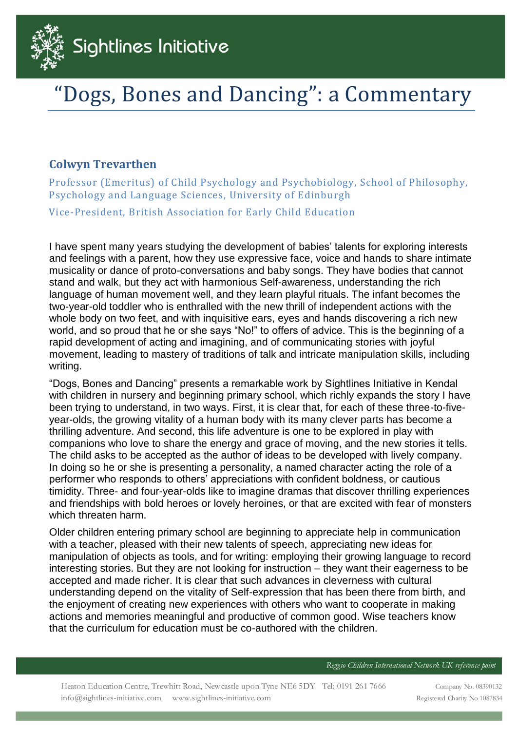

## Dogs, Bones and Dancing": a Commentary

## **Colwyn Trevarthen**

Professor (Emeritus) of Child Psychology and Psychobiology, School of Philosophy, Psychology and Language Sciences, University of Edinburgh

Vice-President, British Association for Early Child Education

I have spent many years studying the development of babies' talents for exploring interests and feelings with a parent, how they use expressive face, voice and hands to share intimate musicality or dance of proto-conversations and baby songs. They have bodies that cannot stand and walk, but they act with harmonious Self-awareness, understanding the rich language of human movement well, and they learn playful rituals. The infant becomes the two-year-old toddler who is enthralled with the new thrill of independent actions with the whole body on two feet, and with inquisitive ears, eyes and hands discovering a rich new world, and so proud that he or she says "No!" to offers of advice. This is the beginning of a rapid development of acting and imagining, and of communicating stories with joyful movement, leading to mastery of traditions of talk and intricate manipulation skills, including writing.

"Dogs, Bones and Dancing" presents a remarkable work by Sightlines Initiative in Kendal with children in nursery and beginning primary school, which richly expands the story I have been trying to understand, in two ways. First, it is clear that, for each of these three-to-fiveyear-olds, the growing vitality of a human body with its many clever parts has become a thrilling adventure. And second, this life adventure is one to be explored in play with companions who love to share the energy and grace of moving, and the new stories it tells. The child asks to be accepted as the author of ideas to be developed with lively company. In doing so he or she is presenting a personality, a named character acting the role of a performer who responds to others' appreciations with confident boldness, or cautious timidity. Three- and four-year-olds like to imagine dramas that discover thrilling experiences and friendships with bold heroes or lovely heroines, or that are excited with fear of monsters which threaten harm.

Older children entering primary school are beginning to appreciate help in communication with a teacher, pleased with their new talents of speech, appreciating new ideas for manipulation of objects as tools, and for writing: employing their growing language to record interesting stories. But they are not looking for instruction – they want their eagerness to be accepted and made richer. It is clear that such advances in cleverness with cultural understanding depend on the vitality of Self-expression that has been there from birth, and the enjoyment of creating new experiences with others who want to cooperate in making actions and memories meaningful and productive of common good. Wise teachers know that the curriculum for education must be co-authored with the children.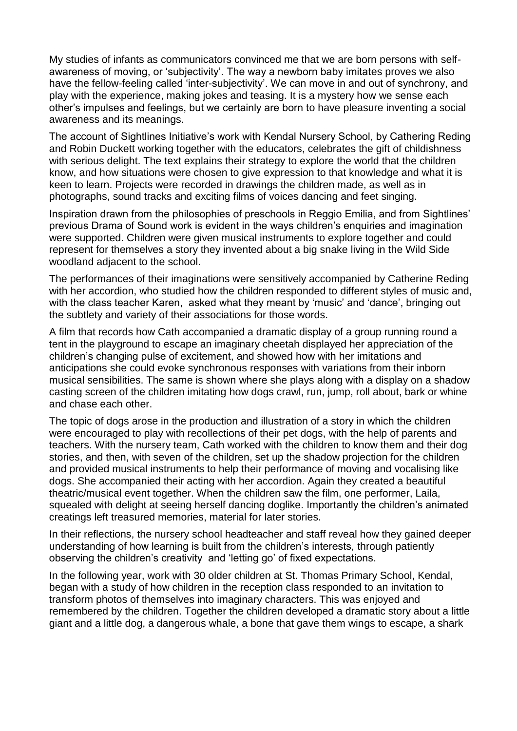My studies of infants as communicators convinced me that we are born persons with selfawareness of moving, or 'subjectivity'. The way a newborn baby imitates proves we also have the fellow-feeling called 'inter-subjectivity'. We can move in and out of synchrony, and play with the experience, making jokes and teasing. It is a mystery how we sense each other's impulses and feelings, but we certainly are born to have pleasure inventing a social awareness and its meanings.

The account of Sightlines Initiative's work with Kendal Nursery School, by Cathering Reding and Robin Duckett working together with the educators, celebrates the gift of childishness with serious delight. The text explains their strategy to explore the world that the children know, and how situations were chosen to give expression to that knowledge and what it is keen to learn. Projects were recorded in drawings the children made, as well as in photographs, sound tracks and exciting films of voices dancing and feet singing.

Inspiration drawn from the philosophies of preschools in Reggio Emilia, and from Sightlines' previous Drama of Sound work is evident in the ways children's enquiries and imagination were supported. Children were given musical instruments to explore together and could represent for themselves a story they invented about a big snake living in the Wild Side woodland adjacent to the school.

The performances of their imaginations were sensitively accompanied by Catherine Reding with her accordion, who studied how the children responded to different styles of music and, with the class teacher Karen, asked what they meant by 'music' and 'dance', bringing out the subtlety and variety of their associations for those words.

A film that records how Cath accompanied a dramatic display of a group running round a tent in the playground to escape an imaginary cheetah displayed her appreciation of the children's changing pulse of excitement, and showed how with her imitations and anticipations she could evoke synchronous responses with variations from their inborn musical sensibilities. The same is shown where she plays along with a display on a shadow casting screen of the children imitating how dogs crawl, run, jump, roll about, bark or whine and chase each other.

The topic of dogs arose in the production and illustration of a story in which the children were encouraged to play with recollections of their pet dogs, with the help of parents and teachers. With the nursery team, Cath worked with the children to know them and their dog stories, and then, with seven of the children, set up the shadow projection for the children and provided musical instruments to help their performance of moving and vocalising like dogs. She accompanied their acting with her accordion. Again they created a beautiful theatric/musical event together. When the children saw the film, one performer, Laila, squealed with delight at seeing herself dancing doglike. Importantly the children's animated creatings left treasured memories, material for later stories.

In their reflections, the nursery school headteacher and staff reveal how they gained deeper understanding of how learning is built from the children's interests, through patiently observing the children's creativity and 'letting go' of fixed expectations.

In the following year, work with 30 older children at St. Thomas Primary School, Kendal, began with a study of how children in the reception class responded to an invitation to transform photos of themselves into imaginary characters. This was enjoyed and remembered by the children. Together the children developed a dramatic story about a little giant and a little dog, a dangerous whale, a bone that gave them wings to escape, a shark